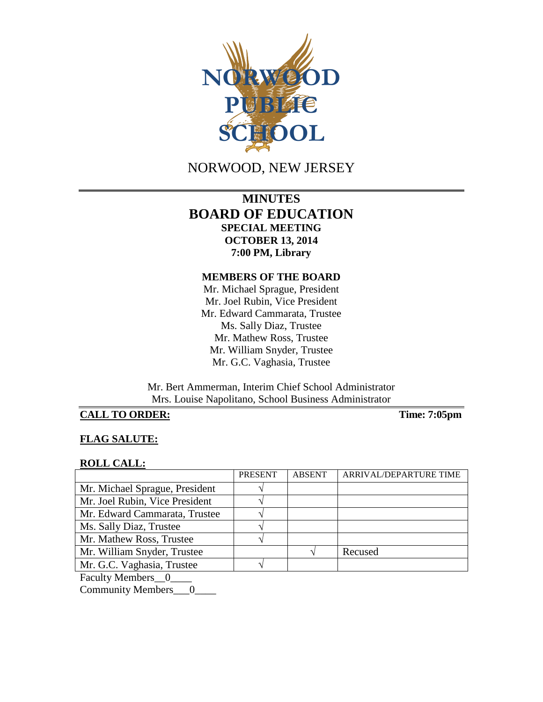

NORWOOD, NEW JERSEY

# **MINUTES BOARD OF EDUCATION SPECIAL MEETING OCTOBER 13, 2014 7:00 PM, Library**

### **MEMBERS OF THE BOARD**

Mr. Michael Sprague, President Mr. Joel Rubin, Vice President Mr. Edward Cammarata, Trustee Ms. Sally Diaz, Trustee Mr. Mathew Ross, Trustee Mr. William Snyder, Trustee Mr. G.C. Vaghasia, Trustee

Mr. Bert Ammerman, Interim Chief School Administrator Mrs. Louise Napolitano, School Business Administrator

# **CALL TO ORDER: Time: 7:05pm**

### **FLAG SALUTE:**

#### **ROLL CALL:**

|                                          | <b>PRESENT</b> | <b>ABSENT</b> | ARRIVAL/DEPARTURE TIME |
|------------------------------------------|----------------|---------------|------------------------|
| Mr. Michael Sprague, President           |                |               |                        |
| Mr. Joel Rubin, Vice President           |                |               |                        |
| Mr. Edward Cammarata, Trustee            |                |               |                        |
| Ms. Sally Diaz, Trustee                  |                |               |                        |
| Mr. Mathew Ross, Trustee                 |                |               |                        |
| Mr. William Snyder, Trustee              |                |               | Recused                |
| Mr. G.C. Vaghasia, Trustee               |                |               |                        |
| $\mathbf{r}$ 1. $\mathbf{r}$ 1. $\alpha$ |                |               |                        |

Faculty Members\_0\_

Community Members\_\_\_0\_\_\_\_